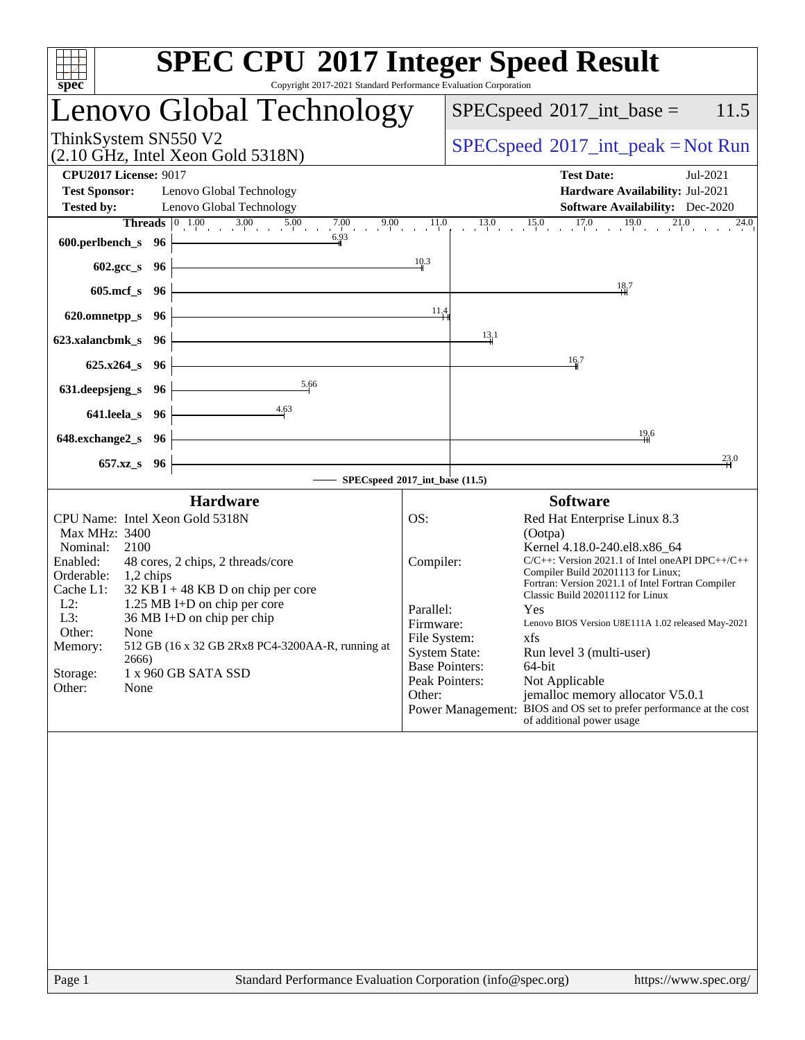| <b>SPEC CPU®2017 Integer Speed Result</b><br>Copyright 2017-2021 Standard Performance Evaluation Corporation                                                                                                                                                                                                                                                                                                                                                                                                                                                                                                                                                                                                                     |
|----------------------------------------------------------------------------------------------------------------------------------------------------------------------------------------------------------------------------------------------------------------------------------------------------------------------------------------------------------------------------------------------------------------------------------------------------------------------------------------------------------------------------------------------------------------------------------------------------------------------------------------------------------------------------------------------------------------------------------|
| Lenovo Global Technology<br>$SPEC speed^{\circ}2017\_int\_base =$<br>11.5                                                                                                                                                                                                                                                                                                                                                                                                                                                                                                                                                                                                                                                        |
| $SPEC speed^{\circ}2017\_int\_peak = Not Run$                                                                                                                                                                                                                                                                                                                                                                                                                                                                                                                                                                                                                                                                                    |
| <b>Test Date:</b><br>Jul-2021<br>Hardware Availability: Jul-2021<br>Software Availability: Dec-2020                                                                                                                                                                                                                                                                                                                                                                                                                                                                                                                                                                                                                              |
| $13.0$ $15.0$ $17.0$ $19.0$<br><b>Threads</b> $\begin{bmatrix} 0 & 1.00 \\ 1 & 0 & 3.00 \\ 0 & 0 & 5.00 \end{bmatrix}$ 7.00 9.00 11.0<br>21.0<br>24.0<br>10.3                                                                                                                                                                                                                                                                                                                                                                                                                                                                                                                                                                    |
| 18.7                                                                                                                                                                                                                                                                                                                                                                                                                                                                                                                                                                                                                                                                                                                             |
| 11,4                                                                                                                                                                                                                                                                                                                                                                                                                                                                                                                                                                                                                                                                                                                             |
| 13.1<br>16.7                                                                                                                                                                                                                                                                                                                                                                                                                                                                                                                                                                                                                                                                                                                     |
|                                                                                                                                                                                                                                                                                                                                                                                                                                                                                                                                                                                                                                                                                                                                  |
|                                                                                                                                                                                                                                                                                                                                                                                                                                                                                                                                                                                                                                                                                                                                  |
| 19,6<br>23.0                                                                                                                                                                                                                                                                                                                                                                                                                                                                                                                                                                                                                                                                                                                     |
| SPECspeed®2017_int_base (11.5)<br><b>Software</b>                                                                                                                                                                                                                                                                                                                                                                                                                                                                                                                                                                                                                                                                                |
| OS:<br>Red Hat Enterprise Linux 8.3<br>(Ootpa)<br>Kernel 4.18.0-240.el8.x86_64<br>$C/C++$ : Version 2021.1 of Intel one API DPC++/C++<br>Compiler:<br>Compiler Build 20201113 for Linux;<br>Fortran: Version 2021.1 of Intel Fortran Compiler<br>Classic Build 20201112 for Linux<br>Parallel:<br>Yes<br>Lenovo BIOS Version U8E111A 1.02 released May-2021<br>Firmware:<br>xfs<br>File System:<br>512 GB (16 x 32 GB 2Rx8 PC4-3200AA-R, running at<br><b>System State:</b><br>Run level 3 (multi-user)<br><b>Base Pointers:</b><br>64-bit<br>Peak Pointers:<br>Not Applicable<br>jemalloc memory allocator V5.0.1<br>Other:<br>Power Management: BIOS and OS set to prefer performance at the cost<br>of additional power usage |
|                                                                                                                                                                                                                                                                                                                                                                                                                                                                                                                                                                                                                                                                                                                                  |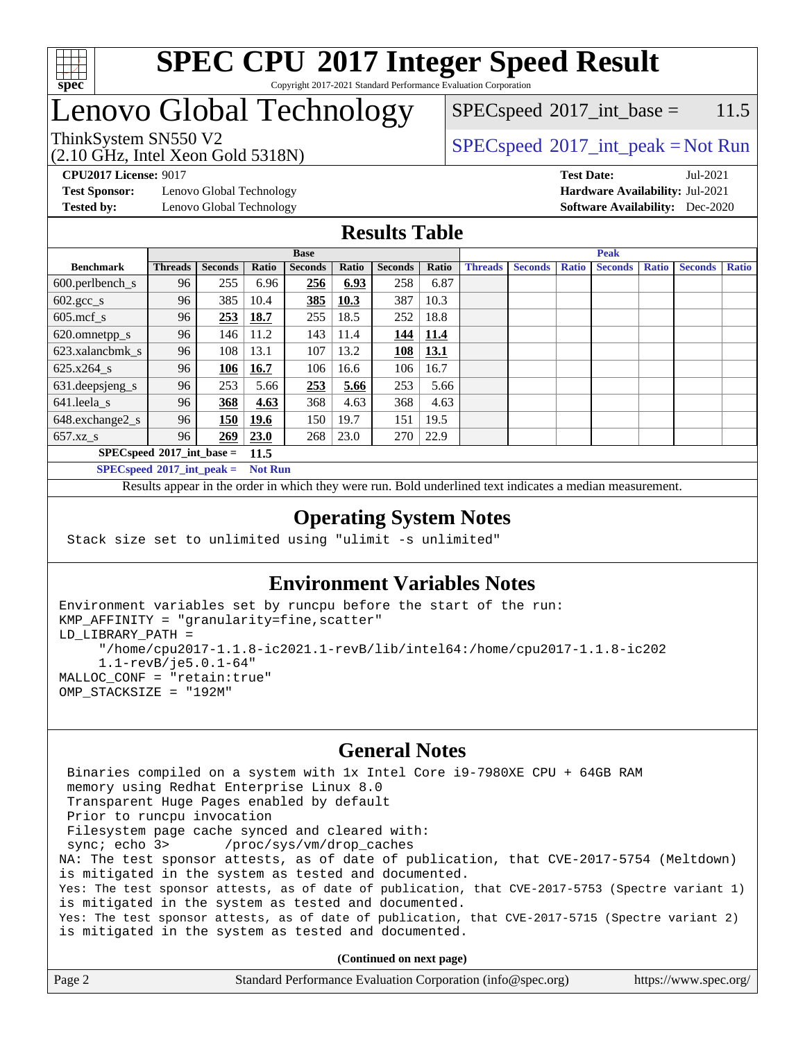

#### **[SPEC CPU](http://www.spec.org/auto/cpu2017/Docs/result-fields.html#SPECCPU2017IntegerSpeedResult)[2017 Integer Speed Result](http://www.spec.org/auto/cpu2017/Docs/result-fields.html#SPECCPU2017IntegerSpeedResult)** Copyright 2017-2021 Standard Performance Evaluation Corporation

## Lenovo Global Technology

 $SPEC speed^{\circ}2017\_int\_base = 11.5$ 

(2.10 GHz, Intel Xeon Gold 5318N)

ThinkSystem SN550 V2<br>  $\begin{array}{c}\n\text{SPEC speed} \text{°2017\_int\_peak} = \text{Not Run} \\
\text{SPEC speed} \text{°2017\_int\_peak} = \text{Not Run} \\
\end{array}$ 

**[Test Sponsor:](http://www.spec.org/auto/cpu2017/Docs/result-fields.html#TestSponsor)** Lenovo Global Technology **[Hardware Availability:](http://www.spec.org/auto/cpu2017/Docs/result-fields.html#HardwareAvailability)** Jul-2021 **[Tested by:](http://www.spec.org/auto/cpu2017/Docs/result-fields.html#Testedby)** Lenovo Global Technology **[Software Availability:](http://www.spec.org/auto/cpu2017/Docs/result-fields.html#SoftwareAvailability)** Dec-2020

**[CPU2017 License:](http://www.spec.org/auto/cpu2017/Docs/result-fields.html#CPU2017License)** 9017 **[Test Date:](http://www.spec.org/auto/cpu2017/Docs/result-fields.html#TestDate)** Jul-2021

### **[Results Table](http://www.spec.org/auto/cpu2017/Docs/result-fields.html#ResultsTable)**

|                                            | <b>Base</b>    |                |       |                | <b>Peak</b> |                |       |                |                |              |                |              |                |              |
|--------------------------------------------|----------------|----------------|-------|----------------|-------------|----------------|-------|----------------|----------------|--------------|----------------|--------------|----------------|--------------|
| <b>Benchmark</b>                           | <b>Threads</b> | <b>Seconds</b> | Ratio | <b>Seconds</b> | Ratio       | <b>Seconds</b> | Ratio | <b>Threads</b> | <b>Seconds</b> | <b>Ratio</b> | <b>Seconds</b> | <b>Ratio</b> | <b>Seconds</b> | <b>Ratio</b> |
| $600.$ perlbench_s                         | 96             | 255            | 6.96  | 256            | 6.93        | 258            | 6.87  |                |                |              |                |              |                |              |
| $602.\text{gcc}\_\text{s}$                 | 96             | 385            | 10.4  | 385            | 10.3        | 387            | 10.3  |                |                |              |                |              |                |              |
| $605$ .mcf s                               | 96             | 253            | 18.7  | 255            | 18.5        | 252            | 18.8  |                |                |              |                |              |                |              |
| 620.omnetpp_s                              | 96             | 146            | 11.2  | 143            | 11.4        | 144            | 11.4  |                |                |              |                |              |                |              |
| 623.xalancbmk s                            | 96             | 108            | 13.1  | 107            | 13.2        | 108            | 13.1  |                |                |              |                |              |                |              |
| 625.x264 s                                 | 96             | 106            | 16.7  | 106            | 16.6        | 106            | 16.7  |                |                |              |                |              |                |              |
| 631.deepsjeng_s                            | 96             | 253            | 5.66  | 253            | 5.66        | 253            | 5.66  |                |                |              |                |              |                |              |
| 641.leela s                                | 96             | 368            | 4.63  | 368            | 4.63        | 368            | 4.63  |                |                |              |                |              |                |              |
| 648.exchange2_s                            | 96             | 150            | 19.6  | 150            | 19.7        | 151            | 19.5  |                |                |              |                |              |                |              |
| $657.xz$ <sub>S</sub>                      | 96             | 269            | 23.0  | 268            | 23.0        | 270            | 22.9  |                |                |              |                |              |                |              |
| $SPECspeed^{\circ}2017$ int base =<br>11.5 |                |                |       |                |             |                |       |                |                |              |                |              |                |              |

**[SPECspeed](http://www.spec.org/auto/cpu2017/Docs/result-fields.html#SPECspeed2017intpeak)[2017\\_int\\_peak =](http://www.spec.org/auto/cpu2017/Docs/result-fields.html#SPECspeed2017intpeak) Not Run**

Results appear in the [order in which they were run.](http://www.spec.org/auto/cpu2017/Docs/result-fields.html#RunOrder) Bold underlined text [indicates a median measurement.](http://www.spec.org/auto/cpu2017/Docs/result-fields.html#Median)

### **[Operating System Notes](http://www.spec.org/auto/cpu2017/Docs/result-fields.html#OperatingSystemNotes)**

Stack size set to unlimited using "ulimit -s unlimited"

### **[Environment Variables Notes](http://www.spec.org/auto/cpu2017/Docs/result-fields.html#EnvironmentVariablesNotes)**

```
Environment variables set by runcpu before the start of the run:
KMP_AFFINITY = "granularity=fine,scatter"
LD_LIBRARY_PATH =
      "/home/cpu2017-1.1.8-ic2021.1-revB/lib/intel64:/home/cpu2017-1.1.8-ic202
      1.1-revB/je5.0.1-64"
MALLOC_CONF = "retain:true"
OMP_STACKSIZE = "192M"
```
#### **[General Notes](http://www.spec.org/auto/cpu2017/Docs/result-fields.html#GeneralNotes)**

 Binaries compiled on a system with 1x Intel Core i9-7980XE CPU + 64GB RAM memory using Redhat Enterprise Linux 8.0 Transparent Huge Pages enabled by default Prior to runcpu invocation Filesystem page cache synced and cleared with: sync; echo 3> /proc/sys/vm/drop\_caches NA: The test sponsor attests, as of date of publication, that CVE-2017-5754 (Meltdown) is mitigated in the system as tested and documented. Yes: The test sponsor attests, as of date of publication, that CVE-2017-5753 (Spectre variant 1) is mitigated in the system as tested and documented. Yes: The test sponsor attests, as of date of publication, that CVE-2017-5715 (Spectre variant 2) is mitigated in the system as tested and documented.

**(Continued on next page)**

| Page 2 | Standard Performance Evaluation Corporation (info@spec.org) | https://www.spec.org/ |
|--------|-------------------------------------------------------------|-----------------------|
|--------|-------------------------------------------------------------|-----------------------|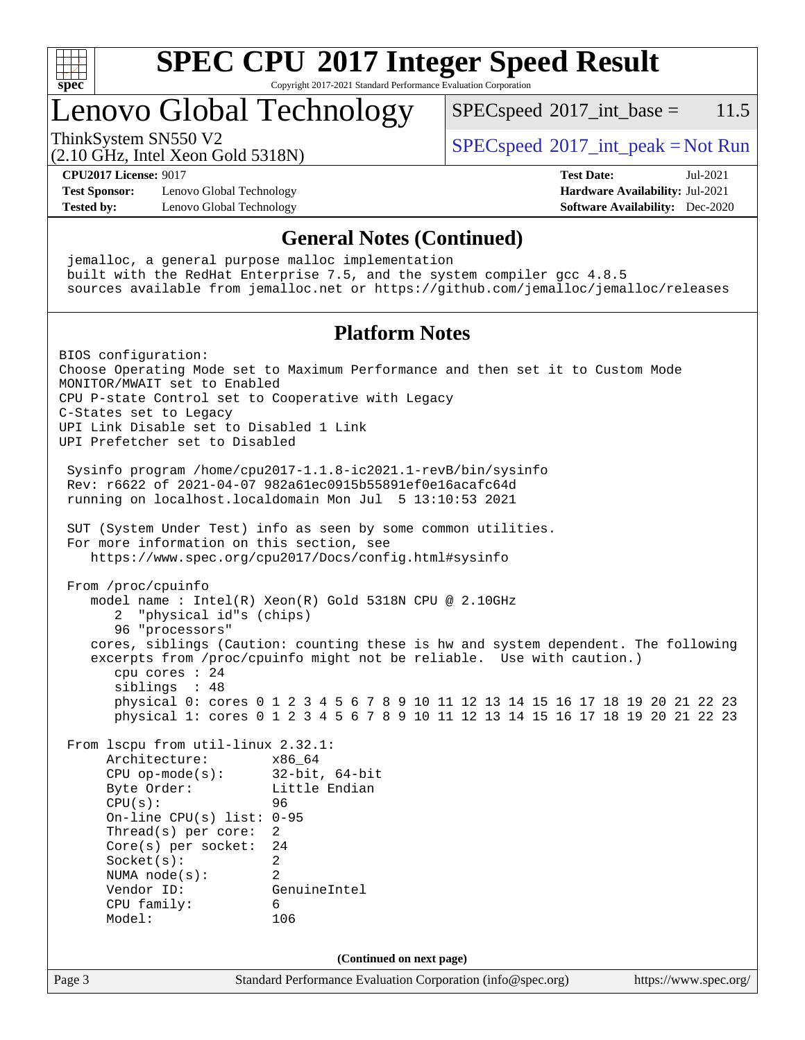

### **[SPEC CPU](http://www.spec.org/auto/cpu2017/Docs/result-fields.html#SPECCPU2017IntegerSpeedResult)[2017 Integer Speed Result](http://www.spec.org/auto/cpu2017/Docs/result-fields.html#SPECCPU2017IntegerSpeedResult)** Copyright 2017-2021 Standard Performance Evaluation Corporation

## Lenovo Global Technology

 $SPECspeed^{\circ}2017\_int\_base = 11.5$  $SPECspeed^{\circ}2017\_int\_base = 11.5$ 

(2.10 GHz, Intel Xeon Gold 5318N)

ThinkSystem SN550 V2  $SPECspeed^{\circ}2017\_int\_peak = Not Run$  $SPECspeed^{\circ}2017\_int\_peak = Not Run$ 

**[CPU2017 License:](http://www.spec.org/auto/cpu2017/Docs/result-fields.html#CPU2017License)** 9017 **[Test Date:](http://www.spec.org/auto/cpu2017/Docs/result-fields.html#TestDate)** Jul-2021

**[Test Sponsor:](http://www.spec.org/auto/cpu2017/Docs/result-fields.html#TestSponsor)** Lenovo Global Technology **[Hardware Availability:](http://www.spec.org/auto/cpu2017/Docs/result-fields.html#HardwareAvailability)** Jul-2021 **[Tested by:](http://www.spec.org/auto/cpu2017/Docs/result-fields.html#Testedby)** Lenovo Global Technology **[Software Availability:](http://www.spec.org/auto/cpu2017/Docs/result-fields.html#SoftwareAvailability)** Dec-2020

### **[General Notes \(Continued\)](http://www.spec.org/auto/cpu2017/Docs/result-fields.html#GeneralNotes)**

Page 3 Standard Performance Evaluation Corporation [\(info@spec.org\)](mailto:info@spec.org) <https://www.spec.org/> jemalloc, a general purpose malloc implementation built with the RedHat Enterprise 7.5, and the system compiler gcc 4.8.5 sources available from jemalloc.net or <https://github.com/jemalloc/jemalloc/releases> **[Platform Notes](http://www.spec.org/auto/cpu2017/Docs/result-fields.html#PlatformNotes)** BIOS configuration: Choose Operating Mode set to Maximum Performance and then set it to Custom Mode MONITOR/MWAIT set to Enabled CPU P-state Control set to Cooperative with Legacy C-States set to Legacy UPI Link Disable set to Disabled 1 Link UPI Prefetcher set to Disabled Sysinfo program /home/cpu2017-1.1.8-ic2021.1-revB/bin/sysinfo Rev: r6622 of 2021-04-07 982a61ec0915b55891ef0e16acafc64d running on localhost.localdomain Mon Jul 5 13:10:53 2021 SUT (System Under Test) info as seen by some common utilities. For more information on this section, see <https://www.spec.org/cpu2017/Docs/config.html#sysinfo> From /proc/cpuinfo model name : Intel(R) Xeon(R) Gold 5318N CPU @ 2.10GHz 2 "physical id"s (chips) 96 "processors" cores, siblings (Caution: counting these is hw and system dependent. The following excerpts from /proc/cpuinfo might not be reliable. Use with caution.) cpu cores : 24 siblings : 48 physical 0: cores 0 1 2 3 4 5 6 7 8 9 10 11 12 13 14 15 16 17 18 19 20 21 22 23 physical 1: cores 0 1 2 3 4 5 6 7 8 9 10 11 12 13 14 15 16 17 18 19 20 21 22 23 From lscpu from util-linux 2.32.1: Architecture: x86\_64 CPU op-mode(s): 32-bit, 64-bit Byte Order: Little Endian CPU(s): 96 On-line CPU(s) list: 0-95 Thread(s) per core: 2 Core(s) per socket: 24 Socket(s): 2 NUMA node(s): 2 Vendor ID: GenuineIntel CPU family: 6 Model: 106 **(Continued on next page)**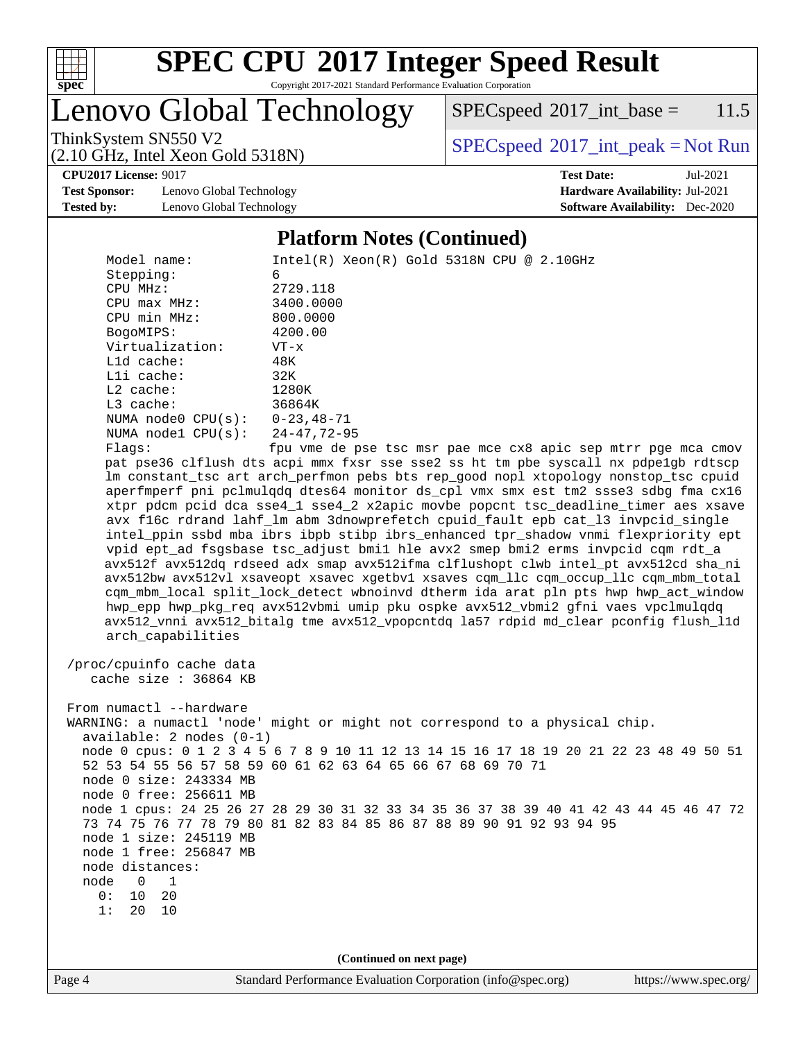

Copyright 2017-2021 Standard Performance Evaluation Corporation

Lenovo Global Technology

 $SPECspeed^{\circledcirc}2017\_int\_base = 11.5$  $SPECspeed^{\circledcirc}2017\_int\_base = 11.5$ 

(2.10 GHz, Intel Xeon Gold 5318N)

ThinkSystem SN550 V2<br>  $(2.10 \text{ GHz, Intel Yoon Gold } 5318N)$  [SPECspeed](http://www.spec.org/auto/cpu2017/Docs/result-fields.html#SPECspeed2017intpeak)<sup>®</sup>[2017\\_int\\_peak = N](http://www.spec.org/auto/cpu2017/Docs/result-fields.html#SPECspeed2017intpeak)ot Run

**[CPU2017 License:](http://www.spec.org/auto/cpu2017/Docs/result-fields.html#CPU2017License)** 9017 **[Test Date:](http://www.spec.org/auto/cpu2017/Docs/result-fields.html#TestDate)** Jul-2021

**[Test Sponsor:](http://www.spec.org/auto/cpu2017/Docs/result-fields.html#TestSponsor)** Lenovo Global Technology **[Hardware Availability:](http://www.spec.org/auto/cpu2017/Docs/result-fields.html#HardwareAvailability)** Jul-2021 **[Tested by:](http://www.spec.org/auto/cpu2017/Docs/result-fields.html#Testedby)** Lenovo Global Technology **[Software Availability:](http://www.spec.org/auto/cpu2017/Docs/result-fields.html#SoftwareAvailability)** Dec-2020

#### **[Platform Notes \(Continued\)](http://www.spec.org/auto/cpu2017/Docs/result-fields.html#PlatformNotes)**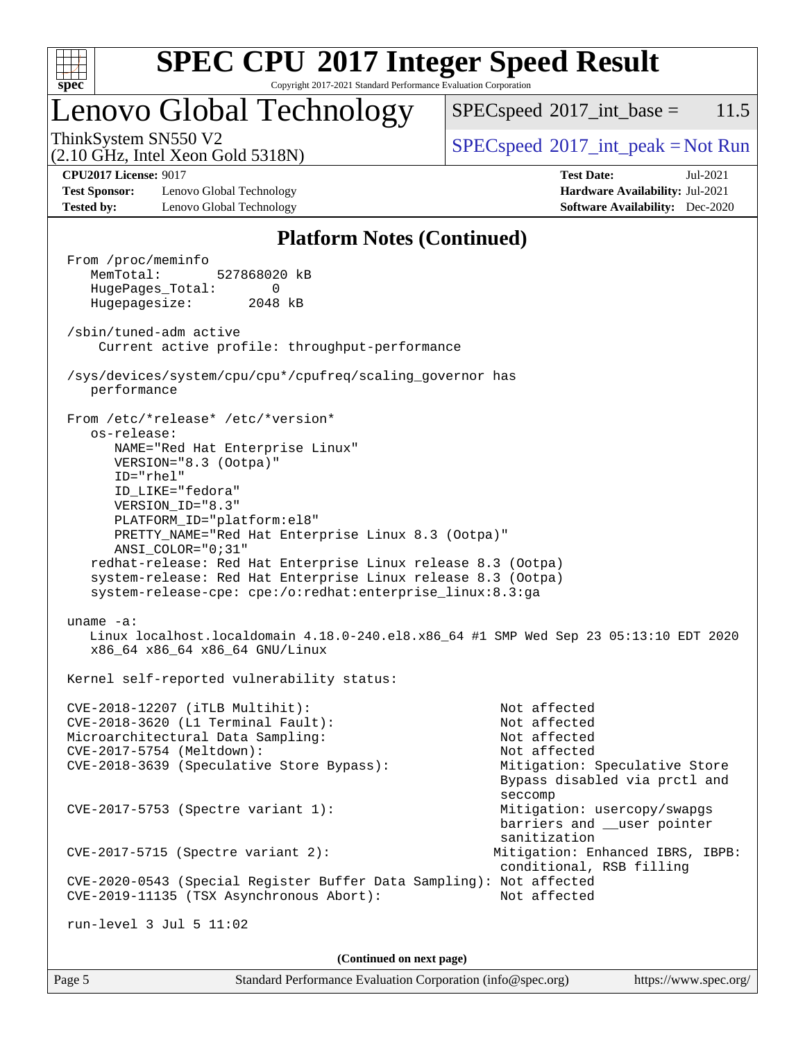

Copyright 2017-2021 Standard Performance Evaluation Corporation

## Lenovo Global Technology

 $SPECspeed^{\circ}2017\_int\_base = 11.5$  $SPECspeed^{\circ}2017\_int\_base = 11.5$ 

(2.10 GHz, Intel Xeon Gold 5318N)

ThinkSystem SN550 V2  $SPEC speed^{\circ}2017\_int\_peak = Not Run$ 

**[CPU2017 License:](http://www.spec.org/auto/cpu2017/Docs/result-fields.html#CPU2017License)** 9017 **[Test Date:](http://www.spec.org/auto/cpu2017/Docs/result-fields.html#TestDate)** Jul-2021

**[Test Sponsor:](http://www.spec.org/auto/cpu2017/Docs/result-fields.html#TestSponsor)** Lenovo Global Technology **[Hardware Availability:](http://www.spec.org/auto/cpu2017/Docs/result-fields.html#HardwareAvailability)** Jul-2021 **[Tested by:](http://www.spec.org/auto/cpu2017/Docs/result-fields.html#Testedby)** Lenovo Global Technology **[Software Availability:](http://www.spec.org/auto/cpu2017/Docs/result-fields.html#SoftwareAvailability)** Dec-2020

### **[Platform Notes \(Continued\)](http://www.spec.org/auto/cpu2017/Docs/result-fields.html#PlatformNotes)**

 From /proc/meminfo MemTotal: 527868020 kB HugePages\_Total: 0 Hugepagesize: 2048 kB /sbin/tuned-adm active Current active profile: throughput-performance /sys/devices/system/cpu/cpu\*/cpufreq/scaling\_governor has performance From /etc/\*release\* /etc/\*version\* os-release: NAME="Red Hat Enterprise Linux" VERSION="8.3 (Ootpa)" ID="rhel" ID\_LIKE="fedora" VERSION\_ID="8.3" PLATFORM\_ID="platform:el8" PRETTY\_NAME="Red Hat Enterprise Linux 8.3 (Ootpa)" ANSI\_COLOR="0;31" redhat-release: Red Hat Enterprise Linux release 8.3 (Ootpa) system-release: Red Hat Enterprise Linux release 8.3 (Ootpa) system-release-cpe: cpe:/o:redhat:enterprise\_linux:8.3:ga uname -a: Linux localhost.localdomain 4.18.0-240.el8.x86\_64 #1 SMP Wed Sep 23 05:13:10 EDT 2020 x86\_64 x86\_64 x86\_64 GNU/Linux Kernel self-reported vulnerability status: CVE-2018-12207 (iTLB Multihit): Not affected CVE-2018-3620 (L1 Terminal Fault): Not affected Microarchitectural Data Sampling: Not affected CVE-2017-5754 (Meltdown): Not affected CVE-2018-3639 (Speculative Store Bypass): Mitigation: Speculative Store Bypass disabled via prctl and seccompany and the contract of the contract of the contract of the second seconds of the contract of the contract of the contract of the contract of the contract of the contract of the contract of the contract of the contr CVE-2017-5753 (Spectre variant 1): Mitigation: usercopy/swapgs barriers and \_\_user pointer sanitization CVE-2017-5715 (Spectre variant 2): Mitigation: Enhanced IBRS, IBPB: conditional, RSB filling CVE-2020-0543 (Special Register Buffer Data Sampling): Not affected CVE-2019-11135 (TSX Asynchronous Abort): Not affected run-level 3 Jul 5 11:02 **(Continued on next page)**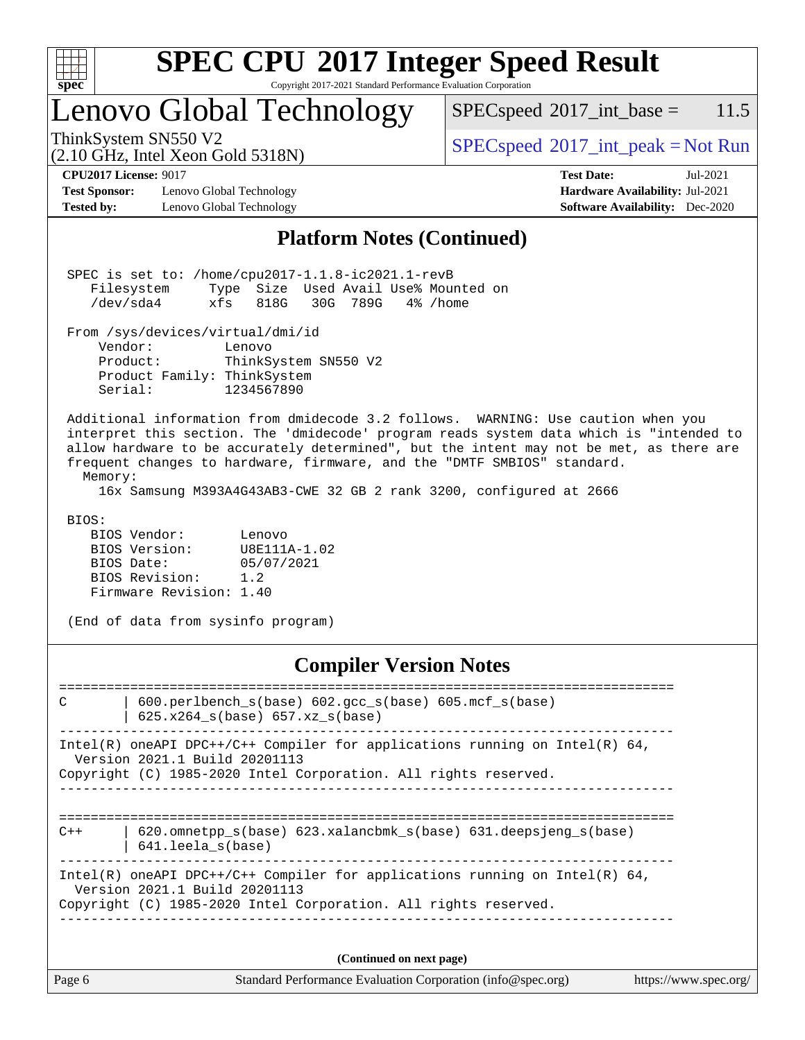| v.<br>ť<br>ù. |  |  |  |  |  |  |  |  |
|---------------|--|--|--|--|--|--|--|--|

Copyright 2017-2021 Standard Performance Evaluation Corporation

# Lenovo Global Technology<br>ThinkSystem SN550 V2

 $SPECspeed^{\circledcirc}2017\_int\_base = 11.5$  $SPECspeed^{\circledcirc}2017\_int\_base = 11.5$ 

(2.10 GHz, Intel Xeon Gold 5318N)

 $SPEC speed^{\circ}2017\_int\_peak = Not Run$ 

**[Test Sponsor:](http://www.spec.org/auto/cpu2017/Docs/result-fields.html#TestSponsor)** Lenovo Global Technology **[Hardware Availability:](http://www.spec.org/auto/cpu2017/Docs/result-fields.html#HardwareAvailability)** Jul-2021 **[Tested by:](http://www.spec.org/auto/cpu2017/Docs/result-fields.html#Testedby)** Lenovo Global Technology **[Software Availability:](http://www.spec.org/auto/cpu2017/Docs/result-fields.html#SoftwareAvailability)** Dec-2020

**[CPU2017 License:](http://www.spec.org/auto/cpu2017/Docs/result-fields.html#CPU2017License)** 9017 **[Test Date:](http://www.spec.org/auto/cpu2017/Docs/result-fields.html#TestDate)** Jul-2021

### **[Platform Notes \(Continued\)](http://www.spec.org/auto/cpu2017/Docs/result-fields.html#PlatformNotes)**

|                                                                                             | SPEC is set to: /home/cpu2017-1.1.8-ic2021.1-revB<br>Type Size Used Avail Use% Mounted on<br>Filesystem<br>/dev/sda4<br>xfs<br>818G 30G 789G<br>4% /home                                                                                                                                                                                                                                                                            |  |  |  |  |  |  |
|---------------------------------------------------------------------------------------------|-------------------------------------------------------------------------------------------------------------------------------------------------------------------------------------------------------------------------------------------------------------------------------------------------------------------------------------------------------------------------------------------------------------------------------------|--|--|--|--|--|--|
|                                                                                             | From /sys/devices/virtual/dmi/id<br>Vendor:<br>Lenovo<br>Product:<br>ThinkSystem SN550 V2<br>Product Family: ThinkSystem<br>Serial:<br>1234567890                                                                                                                                                                                                                                                                                   |  |  |  |  |  |  |
|                                                                                             | Additional information from dmidecode 3.2 follows. WARNING: Use caution when you<br>interpret this section. The 'dmidecode' program reads system data which is "intended to<br>allow hardware to be accurately determined", but the intent may not be met, as there are<br>frequent changes to hardware, firmware, and the "DMTF SMBIOS" standard.<br>Memory:<br>16x Samsung M393A4G43AB3-CWE 32 GB 2 rank 3200, configured at 2666 |  |  |  |  |  |  |
| BIOS:                                                                                       | BIOS Vendor:<br>Lenovo<br>BIOS Version:<br>U8E111A-1.02<br>05/07/2021<br>BIOS Date:<br>BIOS Revision: 1.2<br>Firmware Revision: 1.40<br>(End of data from sysinfo program)                                                                                                                                                                                                                                                          |  |  |  |  |  |  |
| <b>Compiler Version Notes</b><br>C<br>600.perlbench_s(base) 602.gcc_s(base) 605.mcf_s(base) |                                                                                                                                                                                                                                                                                                                                                                                                                                     |  |  |  |  |  |  |
|                                                                                             | 625.x264 s(base) 657.xz s(base)                                                                                                                                                                                                                                                                                                                                                                                                     |  |  |  |  |  |  |

------------------------------------------------------------------------------ Intel(R) oneAPI DPC++/C++ Compiler for applications running on Intel(R)  $64$ , Version 2021.1 Build 20201113

Copyright (C) 1985-2020 Intel Corporation. All rights reserved. ------------------------------------------------------------------------------

==============================================================================  $C++$  | 620.omnetpp s(base) 623.xalancbmk s(base) 631.deepsjeng s(base) | 641.leela\_s(base) ------------------------------------------------------------------------------

Intel(R) oneAPI DPC++/C++ Compiler for applications running on Intel(R) 64, Version 2021.1 Build 20201113 Copyright (C) 1985-2020 Intel Corporation. All rights reserved.

**(Continued on next page)**

|  | Page 6 | Standard Performance Evaluation Corporation (info@spec.org) | https://www.spec.org/ |
|--|--------|-------------------------------------------------------------|-----------------------|
|--|--------|-------------------------------------------------------------|-----------------------|

------------------------------------------------------------------------------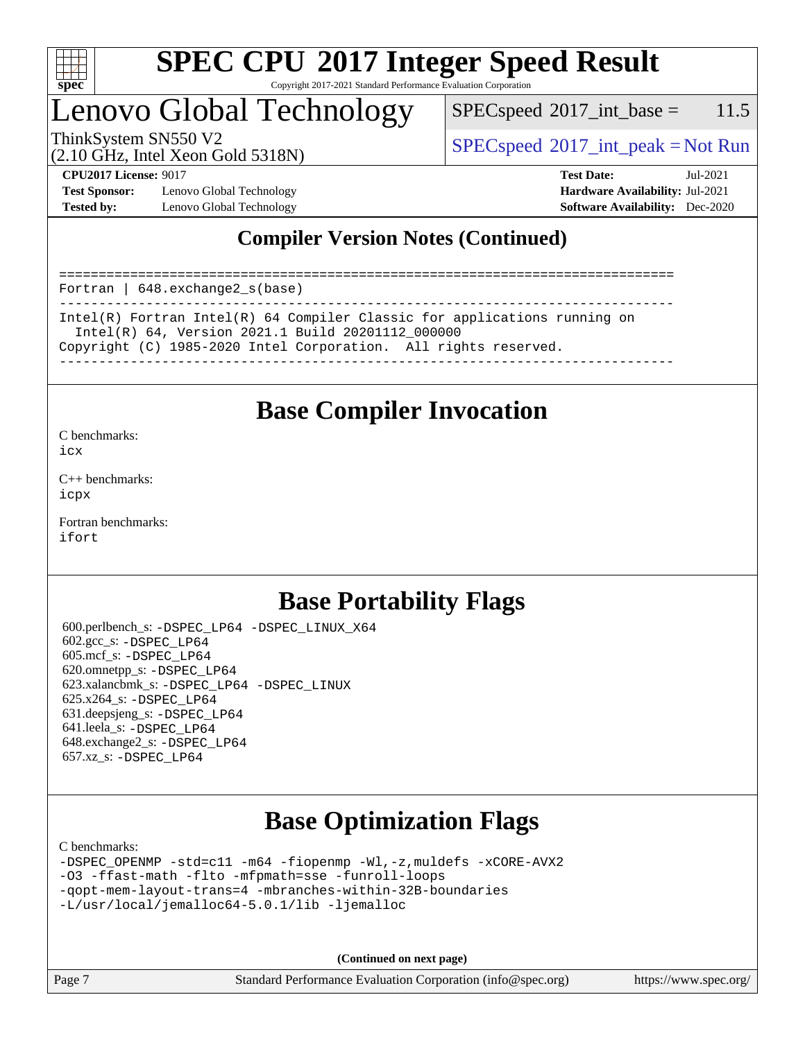

Copyright 2017-2021 Standard Performance Evaluation Corporation

## Lenovo Global Technology

 $SPECspeed^{\circ}2017\_int\_base = 11.5$  $SPECspeed^{\circ}2017\_int\_base = 11.5$ 

(2.10 GHz, Intel Xeon Gold 5318N)

ThinkSystem SN550 V2  $SPEC speed^{\circ}2017\_int\_peak = Not Run$ 

**[Test Sponsor:](http://www.spec.org/auto/cpu2017/Docs/result-fields.html#TestSponsor)** Lenovo Global Technology **[Hardware Availability:](http://www.spec.org/auto/cpu2017/Docs/result-fields.html#HardwareAvailability)** Jul-2021 **[Tested by:](http://www.spec.org/auto/cpu2017/Docs/result-fields.html#Testedby)** Lenovo Global Technology **[Software Availability:](http://www.spec.org/auto/cpu2017/Docs/result-fields.html#SoftwareAvailability)** Dec-2020

**[CPU2017 License:](http://www.spec.org/auto/cpu2017/Docs/result-fields.html#CPU2017License)** 9017 **[Test Date:](http://www.spec.org/auto/cpu2017/Docs/result-fields.html#TestDate)** Jul-2021

### **[Compiler Version Notes \(Continued\)](http://www.spec.org/auto/cpu2017/Docs/result-fields.html#CompilerVersionNotes)**

============================================================================== Fortran | 648.exchange2\_s(base) ------------------------------------------------------------------------------ Intel(R) Fortran Intel(R) 64 Compiler Classic for applications running on Intel(R) 64, Version 2021.1 Build 20201112\_000000

Copyright (C) 1985-2020 Intel Corporation. All rights reserved.

------------------------------------------------------------------------------

### **[Base Compiler Invocation](http://www.spec.org/auto/cpu2017/Docs/result-fields.html#BaseCompilerInvocation)**

[C benchmarks](http://www.spec.org/auto/cpu2017/Docs/result-fields.html#Cbenchmarks): [icx](http://www.spec.org/cpu2017/results/res2021q3/cpu2017-20210719-28299.flags.html#user_CCbase_intel_icx_fe2d28d19ae2a5db7c42fe0f2a2aed77cb715edd4aeb23434404a8be6683fe239869bb6ca8154ca98265c2e3b9226a719a0efe2953a4a7018c379b7010ccf087)

[C++ benchmarks:](http://www.spec.org/auto/cpu2017/Docs/result-fields.html#CXXbenchmarks) [icpx](http://www.spec.org/cpu2017/results/res2021q3/cpu2017-20210719-28299.flags.html#user_CXXbase_intel_icpx_1e918ed14c436bf4b9b7c8bcdd51d4539fc71b3df010bd1e9f8732d9c34c2b2914e48204a846820f3c0ebb4095dea797a5c30b458ac0b6dffac65d78f781f5ca)

[Fortran benchmarks](http://www.spec.org/auto/cpu2017/Docs/result-fields.html#Fortranbenchmarks): [ifort](http://www.spec.org/cpu2017/results/res2021q3/cpu2017-20210719-28299.flags.html#user_FCbase_intel_ifort_8111460550e3ca792625aed983ce982f94888b8b503583aa7ba2b8303487b4d8a21a13e7191a45c5fd58ff318f48f9492884d4413fa793fd88dd292cad7027ca)

### **[Base Portability Flags](http://www.spec.org/auto/cpu2017/Docs/result-fields.html#BasePortabilityFlags)**

 600.perlbench\_s: [-DSPEC\\_LP64](http://www.spec.org/cpu2017/results/res2021q3/cpu2017-20210719-28299.flags.html#b600.perlbench_s_basePORTABILITY_DSPEC_LP64) [-DSPEC\\_LINUX\\_X64](http://www.spec.org/cpu2017/results/res2021q3/cpu2017-20210719-28299.flags.html#b600.perlbench_s_baseCPORTABILITY_DSPEC_LINUX_X64) 602.gcc\_s: [-DSPEC\\_LP64](http://www.spec.org/cpu2017/results/res2021q3/cpu2017-20210719-28299.flags.html#suite_basePORTABILITY602_gcc_s_DSPEC_LP64) 605.mcf\_s: [-DSPEC\\_LP64](http://www.spec.org/cpu2017/results/res2021q3/cpu2017-20210719-28299.flags.html#suite_basePORTABILITY605_mcf_s_DSPEC_LP64) 620.omnetpp\_s: [-DSPEC\\_LP64](http://www.spec.org/cpu2017/results/res2021q3/cpu2017-20210719-28299.flags.html#suite_basePORTABILITY620_omnetpp_s_DSPEC_LP64) 623.xalancbmk\_s: [-DSPEC\\_LP64](http://www.spec.org/cpu2017/results/res2021q3/cpu2017-20210719-28299.flags.html#suite_basePORTABILITY623_xalancbmk_s_DSPEC_LP64) [-DSPEC\\_LINUX](http://www.spec.org/cpu2017/results/res2021q3/cpu2017-20210719-28299.flags.html#b623.xalancbmk_s_baseCXXPORTABILITY_DSPEC_LINUX) 625.x264\_s: [-DSPEC\\_LP64](http://www.spec.org/cpu2017/results/res2021q3/cpu2017-20210719-28299.flags.html#suite_basePORTABILITY625_x264_s_DSPEC_LP64) 631.deepsjeng\_s: [-DSPEC\\_LP64](http://www.spec.org/cpu2017/results/res2021q3/cpu2017-20210719-28299.flags.html#suite_basePORTABILITY631_deepsjeng_s_DSPEC_LP64) 641.leela\_s: [-DSPEC\\_LP64](http://www.spec.org/cpu2017/results/res2021q3/cpu2017-20210719-28299.flags.html#suite_basePORTABILITY641_leela_s_DSPEC_LP64) 648.exchange2\_s: [-DSPEC\\_LP64](http://www.spec.org/cpu2017/results/res2021q3/cpu2017-20210719-28299.flags.html#suite_basePORTABILITY648_exchange2_s_DSPEC_LP64) 657.xz\_s: [-DSPEC\\_LP64](http://www.spec.org/cpu2017/results/res2021q3/cpu2017-20210719-28299.flags.html#suite_basePORTABILITY657_xz_s_DSPEC_LP64)

### **[Base Optimization Flags](http://www.spec.org/auto/cpu2017/Docs/result-fields.html#BaseOptimizationFlags)**

[C benchmarks](http://www.spec.org/auto/cpu2017/Docs/result-fields.html#Cbenchmarks):

[-DSPEC\\_OPENMP](http://www.spec.org/cpu2017/results/res2021q3/cpu2017-20210719-28299.flags.html#suite_CCbase_DSPEC_OPENMP) [-std=c11](http://www.spec.org/cpu2017/results/res2021q3/cpu2017-20210719-28299.flags.html#user_CCbase_std-icc-std_0e1c27790398a4642dfca32ffe6c27b5796f9c2d2676156f2e42c9c44eaad0c049b1cdb667a270c34d979996257aeb8fc440bfb01818dbc9357bd9d174cb8524) [-m64](http://www.spec.org/cpu2017/results/res2021q3/cpu2017-20210719-28299.flags.html#user_CCbase_m64-icc) [-fiopenmp](http://www.spec.org/cpu2017/results/res2021q3/cpu2017-20210719-28299.flags.html#user_CCbase_fiopenmp_4cde26b3fcccd23bd0bb70af4efc204325d72839eefa1147e34201101709f20b3deb62aad96701dea148529bf4ca48c90b72f3bf837ca148e297cf8a0ba6feb7) [-Wl,-z,muldefs](http://www.spec.org/cpu2017/results/res2021q3/cpu2017-20210719-28299.flags.html#user_CCbase_link_force_multiple1_b4cbdb97b34bdee9ceefcfe54f4c8ea74255f0b02a4b23e853cdb0e18eb4525ac79b5a88067c842dd0ee6996c24547a27a4b99331201badda8798ef8a743f577) [-xCORE-AVX2](http://www.spec.org/cpu2017/results/res2021q3/cpu2017-20210719-28299.flags.html#user_CCbase_f-xCORE-AVX2) [-O3](http://www.spec.org/cpu2017/results/res2021q3/cpu2017-20210719-28299.flags.html#user_CCbase_f-O3) [-ffast-math](http://www.spec.org/cpu2017/results/res2021q3/cpu2017-20210719-28299.flags.html#user_CCbase_f-ffast-math) [-flto](http://www.spec.org/cpu2017/results/res2021q3/cpu2017-20210719-28299.flags.html#user_CCbase_f-flto) [-mfpmath=sse](http://www.spec.org/cpu2017/results/res2021q3/cpu2017-20210719-28299.flags.html#user_CCbase_f-mfpmath_70eb8fac26bde974f8ab713bc9086c5621c0b8d2f6c86f38af0bd7062540daf19db5f3a066d8c6684be05d84c9b6322eb3b5be6619d967835195b93d6c02afa1) [-funroll-loops](http://www.spec.org/cpu2017/results/res2021q3/cpu2017-20210719-28299.flags.html#user_CCbase_f-funroll-loops) [-qopt-mem-layout-trans=4](http://www.spec.org/cpu2017/results/res2021q3/cpu2017-20210719-28299.flags.html#user_CCbase_f-qopt-mem-layout-trans_fa39e755916c150a61361b7846f310bcdf6f04e385ef281cadf3647acec3f0ae266d1a1d22d972a7087a248fd4e6ca390a3634700869573d231a252c784941a8) [-mbranches-within-32B-boundaries](http://www.spec.org/cpu2017/results/res2021q3/cpu2017-20210719-28299.flags.html#user_CCbase_f-mbranches-within-32B-boundaries) [-L/usr/local/jemalloc64-5.0.1/lib](http://www.spec.org/cpu2017/results/res2021q3/cpu2017-20210719-28299.flags.html#user_CCbase_jemalloc_link_path64_1_cc289568b1a6c0fd3b62c91b824c27fcb5af5e8098e6ad028160d21144ef1b8aef3170d2acf0bee98a8da324cfe4f67d0a3d0c4cc4673d993d694dc2a0df248b) [-ljemalloc](http://www.spec.org/cpu2017/results/res2021q3/cpu2017-20210719-28299.flags.html#user_CCbase_jemalloc_link_lib_d1249b907c500fa1c0672f44f562e3d0f79738ae9e3c4a9c376d49f265a04b9c99b167ecedbf6711b3085be911c67ff61f150a17b3472be731631ba4d0471706)

**(Continued on next page)**

Page 7 Standard Performance Evaluation Corporation [\(info@spec.org\)](mailto:info@spec.org) <https://www.spec.org/>